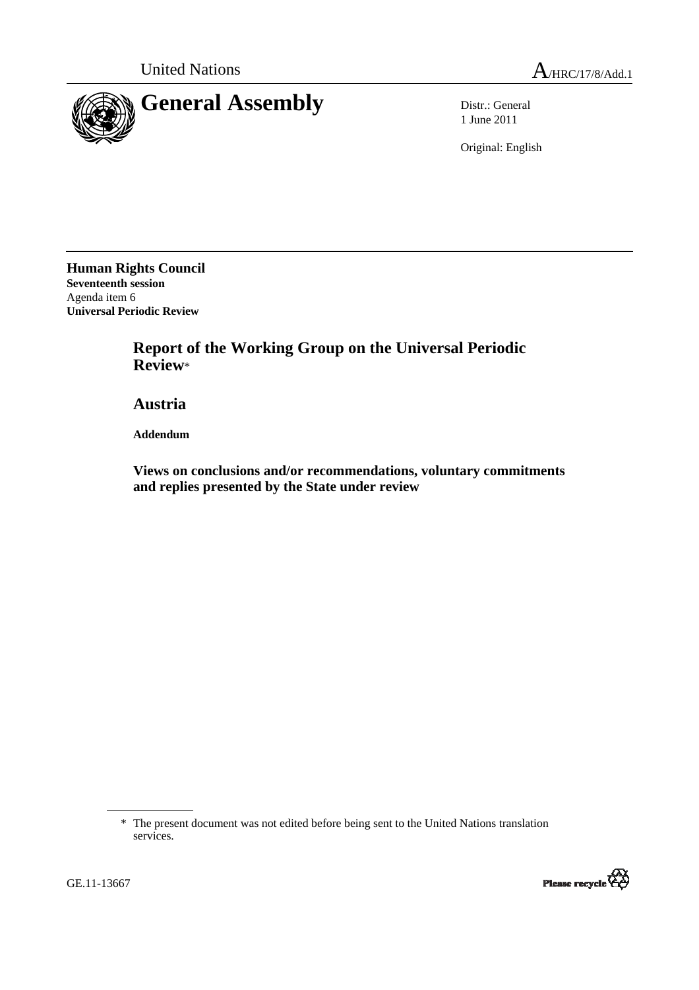

1 June 2011

Original: English

**Human Rights Council Seventeenth session**  Agenda item 6 **Universal Periodic Review** 

> **Report of the Working Group on the Universal Periodic Review**\*

 **Austria** 

 **Addendum** 

 **Views on conclusions and/or recommendations, voluntary commitments and replies presented by the State under review** 



<sup>\*</sup> The present document was not edited before being sent to the United Nations translation services.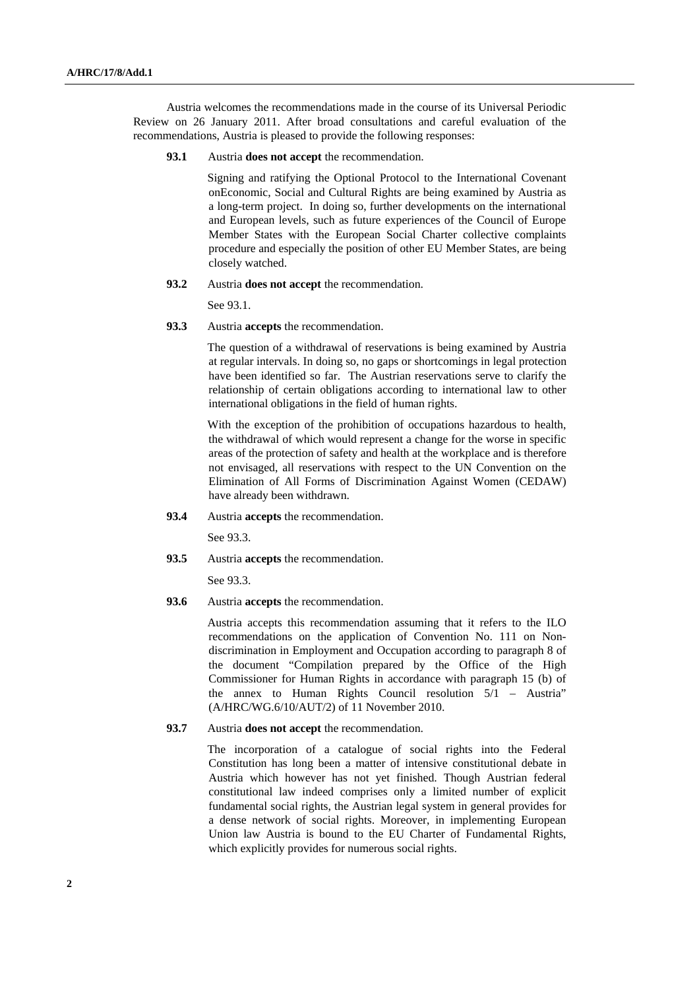Austria welcomes the recommendations made in the course of its Universal Periodic Review on 26 January 2011. After broad consultations and careful evaluation of the recommendations, Austria is pleased to provide the following responses:

**93.1** Austria **does not accept** the recommendation.

 Signing and ratifying the Optional Protocol to the International Covenant onEconomic, Social and Cultural Rights are being examined by Austria as a long-term project. In doing so, further developments on the international and European levels, such as future experiences of the Council of Europe Member States with the European Social Charter collective complaints procedure and especially the position of other EU Member States, are being closely watched.

**93.2** Austria **does not accept** the recommendation.

See 93.1.

**93.3** Austria **accepts** the recommendation.

 The question of a withdrawal of reservations is being examined by Austria at regular intervals. In doing so, no gaps or shortcomings in legal protection have been identified so far. The Austrian reservations serve to clarify the relationship of certain obligations according to international law to other international obligations in the field of human rights.

 With the exception of the prohibition of occupations hazardous to health, the withdrawal of which would represent a change for the worse in specific areas of the protection of safety and health at the workplace and is therefore not envisaged, all reservations with respect to the UN Convention on the Elimination of All Forms of Discrimination Against Women (CEDAW) have already been withdrawn.

**93.4** Austria **accepts** the recommendation.

See 93.3.

**93.5** Austria **accepts** the recommendation.

See 93.3.

**93.6** Austria **accepts** the recommendation.

 Austria accepts this recommendation assuming that it refers to the ILO recommendations on the application of Convention No. 111 on Nondiscrimination in Employment and Occupation according to paragraph 8 of the document "Compilation prepared by the Office of the High Commissioner for Human Rights in accordance with paragraph 15 (b) of the annex to Human Rights Council resolution 5/1 – Austria" (A/HRC/WG.6/10/AUT/2) of 11 November 2010.

**93.7** Austria **does not accept** the recommendation.

 The incorporation of a catalogue of social rights into the Federal Constitution has long been a matter of intensive constitutional debate in Austria which however has not yet finished. Though Austrian federal constitutional law indeed comprises only a limited number of explicit fundamental social rights, the Austrian legal system in general provides for a dense network of social rights. Moreover, in implementing European Union law Austria is bound to the EU Charter of Fundamental Rights, which explicitly provides for numerous social rights.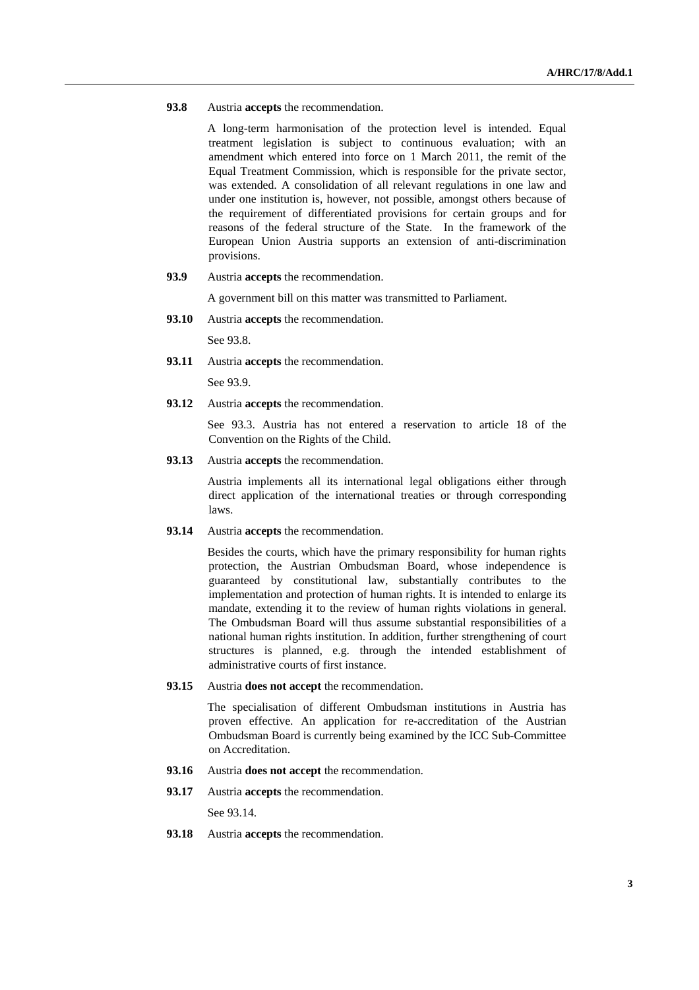## **93.8** Austria **accepts** the recommendation.

A long-term harmonisation of the protection level is intended. Equal treatment legislation is subject to continuous evaluation; with an amendment which entered into force on 1 March 2011, the remit of the Equal Treatment Commission, which is responsible for the private sector, was extended. A consolidation of all relevant regulations in one law and under one institution is, however, not possible, amongst others because of the requirement of differentiated provisions for certain groups and for reasons of the federal structure of the State. In the framework of the European Union Austria supports an extension of anti-discrimination provisions.

**93.9** Austria **accepts** the recommendation.

A government bill on this matter was transmitted to Parliament.

**93.10** Austria **accepts** the recommendation.

See 93.8.

**93.11** Austria **accepts** the recommendation.

See 93.9.

**93.12** Austria **accepts** the recommendation.

 See 93.3. Austria has not entered a reservation to article 18 of the Convention on the Rights of the Child.

**93.13** Austria **accepts** the recommendation.

 Austria implements all its international legal obligations either through direct application of the international treaties or through corresponding laws.

**93.14** Austria **accepts** the recommendation.

 Besides the courts, which have the primary responsibility for human rights protection, the Austrian Ombudsman Board, whose independence is guaranteed by constitutional law, substantially contributes to the implementation and protection of human rights. It is intended to enlarge its mandate, extending it to the review of human rights violations in general. The Ombudsman Board will thus assume substantial responsibilities of a national human rights institution. In addition, further strengthening of court structures is planned, e.g. through the intended establishment of administrative courts of first instance.

**93.15** Austria **does not accept** the recommendation.

 The specialisation of different Ombudsman institutions in Austria has proven effective. An application for re-accreditation of the Austrian Ombudsman Board is currently being examined by the ICC Sub-Committee on Accreditation.

- **93.16** Austria **does not accept** the recommendation.
- **93.17** Austria **accepts** the recommendation.

See 93.14.

**93.18** Austria **accepts** the recommendation.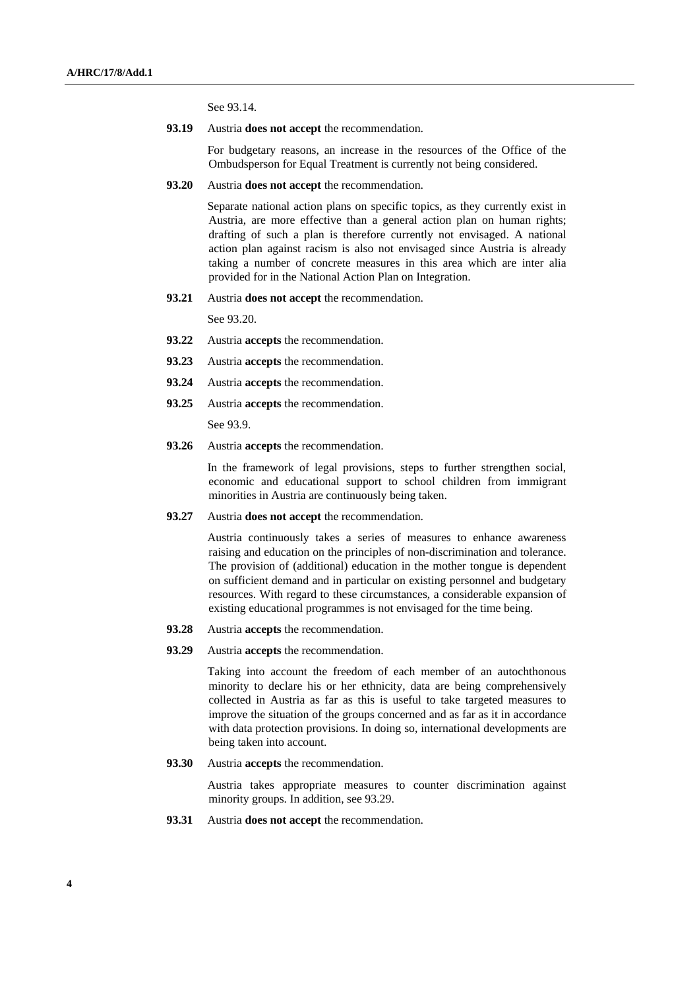See 93.14.

**93.19** Austria **does not accept** the recommendation.

 For budgetary reasons, an increase in the resources of the Office of the Ombudsperson for Equal Treatment is currently not being considered.

**93.20** Austria **does not accept** the recommendation.

 Separate national action plans on specific topics, as they currently exist in Austria, are more effective than a general action plan on human rights; drafting of such a plan is therefore currently not envisaged. A national action plan against racism is also not envisaged since Austria is already taking a number of concrete measures in this area which are inter alia provided for in the National Action Plan on Integration.

**93.21** Austria **does not accept** the recommendation.

See 93.20.

- **93.22** Austria **accepts** the recommendation.
- **93.23** Austria **accepts** the recommendation.
- **93.24** Austria **accepts** the recommendation.
- **93.25** Austria **accepts** the recommendation.

See 93.9.

**93.26** Austria **accepts** the recommendation.

In the framework of legal provisions, steps to further strengthen social, economic and educational support to school children from immigrant minorities in Austria are continuously being taken.

**93.27** Austria **does not accept** the recommendation.

 Austria continuously takes a series of measures to enhance awareness raising and education on the principles of non-discrimination and tolerance. The provision of (additional) education in the mother tongue is dependent on sufficient demand and in particular on existing personnel and budgetary resources. With regard to these circumstances, a considerable expansion of existing educational programmes is not envisaged for the time being.

- **93.28** Austria **accepts** the recommendation.
- **93.29** Austria **accepts** the recommendation.

Taking into account the freedom of each member of an autochthonous minority to declare his or her ethnicity, data are being comprehensively collected in Austria as far as this is useful to take targeted measures to improve the situation of the groups concerned and as far as it in accordance with data protection provisions. In doing so, international developments are being taken into account.

**93.30** Austria **accepts** the recommendation.

 Austria takes appropriate measures to counter discrimination against minority groups. In addition, see 93.29.

**93.31** Austria **does not accept** the recommendation.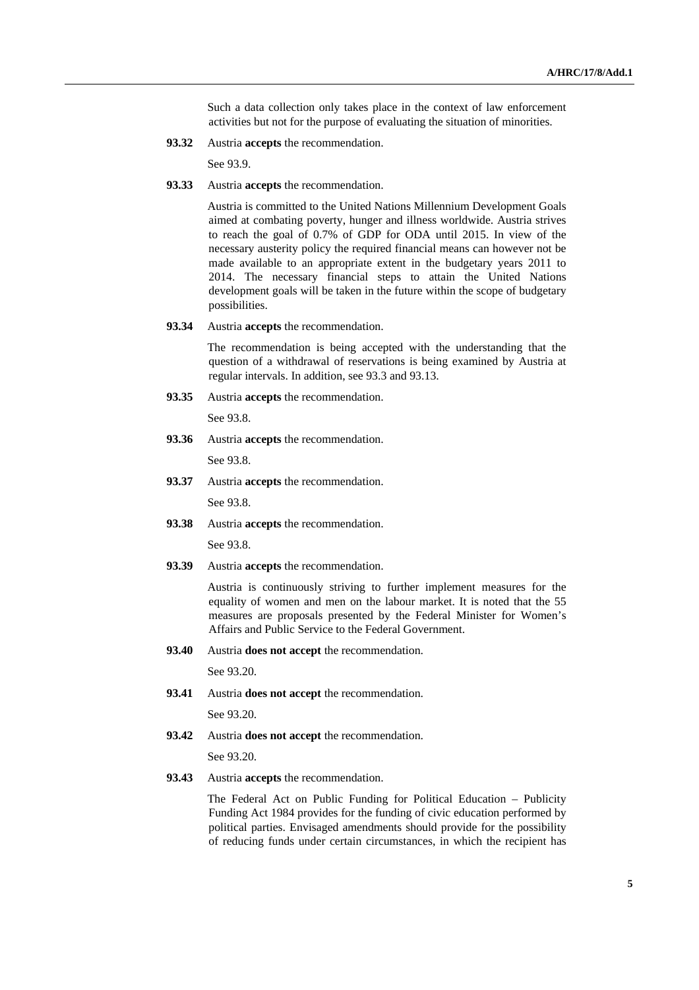Such a data collection only takes place in the context of law enforcement activities but not for the purpose of evaluating the situation of minorities.

**93.32** Austria **accepts** the recommendation.

See 93.9.

**93.33** Austria **accepts** the recommendation.

 Austria is committed to the United Nations Millennium Development Goals aimed at combating poverty, hunger and illness worldwide. Austria strives to reach the goal of 0.7% of GDP for ODA until 2015. In view of the necessary austerity policy the required financial means can however not be made available to an appropriate extent in the budgetary years 2011 to 2014. The necessary financial steps to attain the United Nations development goals will be taken in the future within the scope of budgetary possibilities.

**93.34** Austria **accepts** the recommendation.

 The recommendation is being accepted with the understanding that the question of a withdrawal of reservations is being examined by Austria at regular intervals. In addition, see 93.3 and 93.13.

**93.35** Austria **accepts** the recommendation.

See 93.8.

**93.36** Austria **accepts** the recommendation.

See 93.8.

**93.37** Austria **accepts** the recommendation.

See 93.8.

**93.38** Austria **accepts** the recommendation.

See 93.8.

**93.39** Austria **accepts** the recommendation.

 Austria is continuously striving to further implement measures for the equality of women and men on the labour market. It is noted that the 55 measures are proposals presented by the Federal Minister for Women's Affairs and Public Service to the Federal Government.

**93.40** Austria **does not accept** the recommendation.

See 93.20.

**93.41** Austria **does not accept** the recommendation.

See 93.20.

**93.42** Austria **does not accept** the recommendation.

See 93.20.

**93.43** Austria **accepts** the recommendation.

The Federal Act on Public Funding for Political Education – Publicity Funding Act 1984 provides for the funding of civic education performed by political parties. Envisaged amendments should provide for the possibility of reducing funds under certain circumstances, in which the recipient has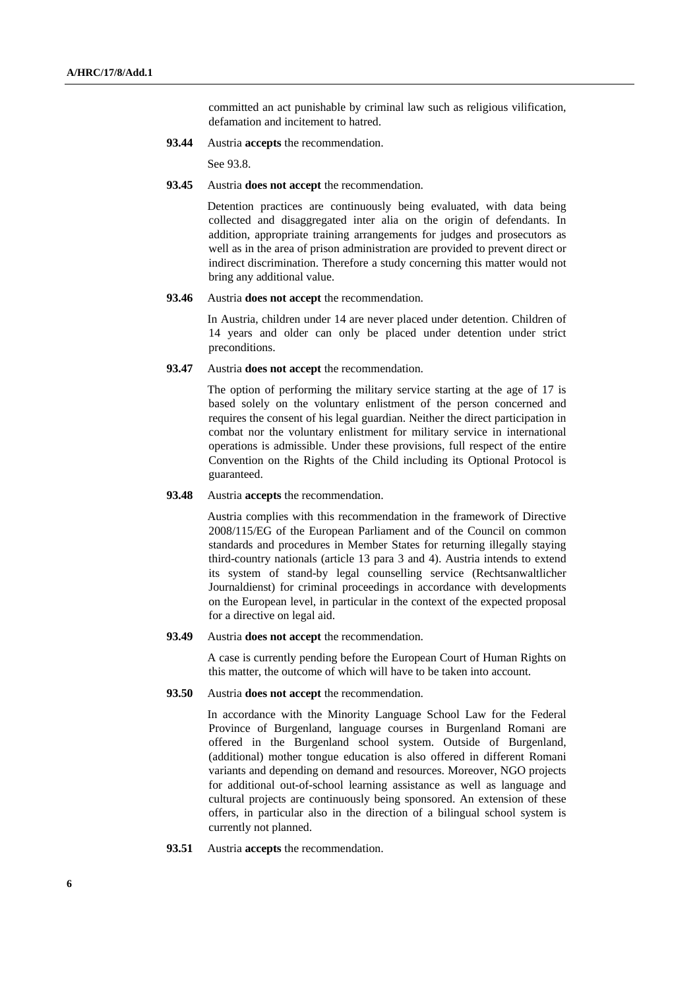committed an act punishable by criminal law such as religious vilification, defamation and incitement to hatred.

**93.44** Austria **accepts** the recommendation.

See 93.8.

**93.45** Austria **does not accept** the recommendation.

 Detention practices are continuously being evaluated, with data being collected and disaggregated inter alia on the origin of defendants. In addition, appropriate training arrangements for judges and prosecutors as well as in the area of prison administration are provided to prevent direct or indirect discrimination. Therefore a study concerning this matter would not bring any additional value.

### **93.46** Austria **does not accept** the recommendation.

 In Austria, children under 14 are never placed under detention. Children of 14 years and older can only be placed under detention under strict preconditions.

### **93.47** Austria **does not accept** the recommendation.

 The option of performing the military service starting at the age of 17 is based solely on the voluntary enlistment of the person concerned and requires the consent of his legal guardian. Neither the direct participation in combat nor the voluntary enlistment for military service in international operations is admissible. Under these provisions, full respect of the entire Convention on the Rights of the Child including its Optional Protocol is guaranteed.

**93.48** Austria **accepts** the recommendation.

 Austria complies with this recommendation in the framework of Directive 2008/115/EG of the European Parliament and of the Council on common standards and procedures in Member States for returning illegally staying third-country nationals (article 13 para 3 and 4). Austria intends to extend its system of stand-by legal counselling service (Rechtsanwaltlicher Journaldienst) for criminal proceedings in accordance with developments on the European level, in particular in the context of the expected proposal for a directive on legal aid.

## **93.49** Austria **does not accept** the recommendation.

A case is currently pending before the European Court of Human Rights on this matter, the outcome of which will have to be taken into account.

#### **93.50** Austria **does not accept** the recommendation.

In accordance with the Minority Language School Law for the Federal Province of Burgenland, language courses in Burgenland Romani are offered in the Burgenland school system. Outside of Burgenland, (additional) mother tongue education is also offered in different Romani variants and depending on demand and resources. Moreover, NGO projects for additional out-of-school learning assistance as well as language and cultural projects are continuously being sponsored. An extension of these offers, in particular also in the direction of a bilingual school system is currently not planned.

**93.51** Austria **accepts** the recommendation.